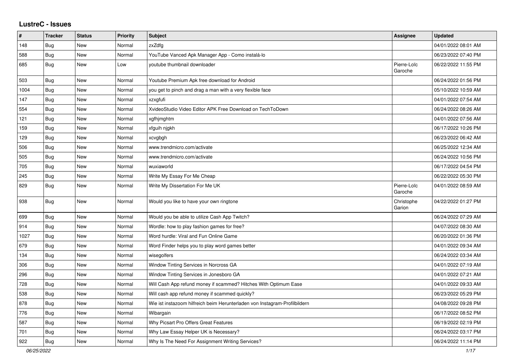## **LustreC - Issues**

| ∦    | <b>Tracker</b> | <b>Status</b> | <b>Priority</b> | Subject                                                                    | <b>Assignee</b>        | <b>Updated</b>      |
|------|----------------|---------------|-----------------|----------------------------------------------------------------------------|------------------------|---------------------|
| 148  | <b>Bug</b>     | <b>New</b>    | Normal          | zxZdfg                                                                     |                        | 04/01/2022 08:01 AM |
| 588  | Bug            | <b>New</b>    | Normal          | YouTube Vanced Apk Manager App - Como instalá-lo                           |                        | 06/23/2022 07:40 PM |
| 685  | Bug            | <b>New</b>    | Low             | voutube thumbnail downloader                                               | Pierre-Loïc<br>Garoche | 06/22/2022 11:55 PM |
| 503  | Bug            | <b>New</b>    | Normal          | Youtube Premium Apk free download for Android                              |                        | 06/24/2022 01:56 PM |
| 1004 | Bug            | <b>New</b>    | Normal          | you get to pinch and drag a man with a very flexible face                  |                        | 05/10/2022 10:59 AM |
| 147  | Bug            | New           | Normal          | xzxgfufi                                                                   |                        | 04/01/2022 07:54 AM |
| 554  | <b>Bug</b>     | <b>New</b>    | Normal          | XvideoStudio Video Editor APK Free Download on TechToDown                  |                        | 06/24/2022 08:26 AM |
| 121  | Bug            | <b>New</b>    | Normal          | xgfhjmghtm                                                                 |                        | 04/01/2022 07:56 AM |
| 159  | Bug            | <b>New</b>    | Normal          | xfguih njgkh                                                               |                        | 06/17/2022 10:26 PM |
| 129  | Bug            | <b>New</b>    | Normal          | xcvgbgh                                                                    |                        | 06/23/2022 06:42 AM |
| 506  | Bug            | <b>New</b>    | Normal          | www.trendmicro.com/activate                                                |                        | 06/25/2022 12:34 AM |
| 505  | Bug            | New           | Normal          | www.trendmicro.com/activate                                                |                        | 06/24/2022 10:56 PM |
| 705  | Bug            | <b>New</b>    | Normal          | wuxiaworld                                                                 |                        | 06/17/2022 04:54 PM |
| 245  | Bug            | <b>New</b>    | Normal          | Write My Essay For Me Cheap                                                |                        | 06/22/2022 05:30 PM |
| 829  | Bug            | <b>New</b>    | Normal          | Write My Dissertation For Me UK                                            | Pierre-Loïc<br>Garoche | 04/01/2022 08:59 AM |
| 938  | Bug            | <b>New</b>    | Normal          | Would you like to have your own ringtone                                   | Christophe<br>Garion   | 04/22/2022 01:27 PM |
| 699  | Bug            | <b>New</b>    | Normal          | Would you be able to utilize Cash App Twitch?                              |                        | 06/24/2022 07:29 AM |
| 914  | Bug            | <b>New</b>    | Normal          | Wordle: how to play fashion games for free?                                |                        | 04/07/2022 08:30 AM |
| 1027 | Bug            | <b>New</b>    | Normal          | Word hurdle: Viral and Fun Online Game                                     |                        | 06/20/2022 01:36 PM |
| 679  | <b>Bug</b>     | <b>New</b>    | Normal          | Word Finder helps you to play word games better                            |                        | 04/01/2022 09:34 AM |
| 134  | <b>Bug</b>     | <b>New</b>    | Normal          | wisegolfers                                                                |                        | 06/24/2022 03:34 AM |
| 306  | Bug            | <b>New</b>    | Normal          | Window Tinting Services in Norcross GA                                     |                        | 04/01/2022 07:19 AM |
| 296  | <b>Bug</b>     | New           | Normal          | Window Tinting Services in Jonesboro GA                                    |                        | 04/01/2022 07:21 AM |
| 728  | <b>Bug</b>     | New           | Normal          | Will Cash App refund money if scammed? Hitches With Optimum Ease           |                        | 04/01/2022 09:33 AM |
| 538  | Bug            | <b>New</b>    | Normal          | Will cash app refund money if scammed quickly?                             |                        | 06/23/2022 05:29 PM |
| 878  | Bug            | <b>New</b>    | Normal          | Wie ist instazoom hilfreich beim Herunterladen von Instagram-Profilbildern |                        | 04/08/2022 09:28 PM |
| 776  | Bug            | <b>New</b>    | Normal          | Wibargain                                                                  |                        | 06/17/2022 08:52 PM |
| 587  | <b>Bug</b>     | <b>New</b>    | Normal          | Why Picsart Pro Offers Great Features                                      |                        | 06/19/2022 02:19 PM |
| 701  | Bug            | <b>New</b>    | Normal          | Why Law Essay Helper UK is Necessary?                                      |                        | 06/24/2022 03:17 PM |
| 922  | Bug            | New           | Normal          | Why Is The Need For Assignment Writing Services?                           |                        | 06/24/2022 11:14 PM |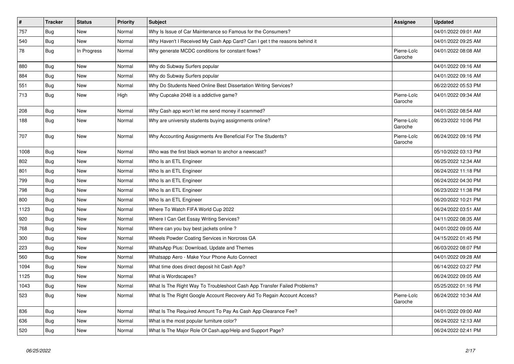| $\sharp$ | <b>Tracker</b> | <b>Status</b> | <b>Priority</b> | <b>Subject</b>                                                             | Assignee               | <b>Updated</b>      |
|----------|----------------|---------------|-----------------|----------------------------------------------------------------------------|------------------------|---------------------|
| 757      | Bug            | <b>New</b>    | Normal          | Why Is Issue of Car Maintenance so Famous for the Consumers?               |                        | 04/01/2022 09:01 AM |
| 540      | <b>Bug</b>     | <b>New</b>    | Normal          | Why Haven't I Received My Cash App Card? Can I get t the reasons behind it |                        | 04/01/2022 09:25 AM |
| 78       | Bug            | In Progress   | Normal          | Why generate MCDC conditions for constant flows?                           | Pierre-Loïc<br>Garoche | 04/01/2022 08:08 AM |
| 880      | <b>Bug</b>     | <b>New</b>    | Normal          | Why do Subway Surfers popular                                              |                        | 04/01/2022 09:16 AM |
| 884      | <b>Bug</b>     | <b>New</b>    | Normal          | Why do Subway Surfers popular                                              |                        | 04/01/2022 09:16 AM |
| 551      | Bug            | <b>New</b>    | Normal          | Why Do Students Need Online Best Dissertation Writing Services?            |                        | 06/22/2022 05:53 PM |
| 713      | Bug            | <b>New</b>    | High            | Why Cupcake 2048 is a addictive game?                                      | Pierre-Loïc<br>Garoche | 04/01/2022 09:34 AM |
| 208      | <b>Bug</b>     | <b>New</b>    | Normal          | Why Cash app won't let me send money if scammed?                           |                        | 04/01/2022 08:54 AM |
| 188      | Bug            | <b>New</b>    | Normal          | Why are university students buying assignments online?                     | Pierre-Loïc<br>Garoche | 06/23/2022 10:06 PM |
| 707      | Bug            | <b>New</b>    | Normal          | Why Accounting Assignments Are Beneficial For The Students?                | Pierre-Loïc<br>Garoche | 06/24/2022 09:16 PM |
| 1008     | Bug            | <b>New</b>    | Normal          | Who was the first black woman to anchor a newscast?                        |                        | 05/10/2022 03:13 PM |
| 802      | Bug            | <b>New</b>    | Normal          | Who Is an ETL Engineer                                                     |                        | 06/25/2022 12:34 AM |
| 801      | <b>Bug</b>     | <b>New</b>    | Normal          | Who Is an ETL Engineer                                                     |                        | 06/24/2022 11:18 PM |
| 799      | <b>Bug</b>     | <b>New</b>    | Normal          | Who Is an ETL Engineer                                                     |                        | 06/24/2022 04:30 PM |
| 798      | Bug            | <b>New</b>    | Normal          | Who Is an ETL Engineer                                                     |                        | 06/23/2022 11:38 PM |
| 800      | Bug            | <b>New</b>    | Normal          | Who Is an ETL Engineer                                                     |                        | 06/20/2022 10:21 PM |
| 1123     | <b>Bug</b>     | <b>New</b>    | Normal          | Where To Watch FIFA World Cup 2022                                         |                        | 06/24/2022 03:51 AM |
| 920      | <b>Bug</b>     | <b>New</b>    | Normal          | Where I Can Get Essay Writing Services?                                    |                        | 04/11/2022 08:35 AM |
| 768      | <b>Bug</b>     | <b>New</b>    | Normal          | Where can you buy best jackets online?                                     |                        | 04/01/2022 09:05 AM |
| 300      | Bug            | <b>New</b>    | Normal          | Wheels Powder Coating Services in Norcross GA                              |                        | 04/15/2022 01:45 PM |
| 223      | <b>Bug</b>     | <b>New</b>    | Normal          | WhatsApp Plus: Download, Update and Themes                                 |                        | 06/03/2022 08:07 PM |
| 560      | Bug            | <b>New</b>    | Normal          | Whatsapp Aero - Make Your Phone Auto Connect                               |                        | 04/01/2022 09:28 AM |
| 1094     | <b>Bug</b>     | <b>New</b>    | Normal          | What time does direct deposit hit Cash App?                                |                        | 06/14/2022 03:27 PM |
| 1125     | <b>Bug</b>     | <b>New</b>    | Normal          | What is Wordscapes?                                                        |                        | 06/24/2022 09:05 AM |
| 1043     | <b>Bug</b>     | <b>New</b>    | Normal          | What Is The Right Way To Troubleshoot Cash App Transfer Failed Problems?   |                        | 05/25/2022 01:16 PM |
| 523      | Bug            | New           | Normal          | What Is The Right Google Account Recovery Aid To Regain Account Access?    | Pierre-Loïc<br>Garoche | 06/24/2022 10:34 AM |
| 836      | Bug            | <b>New</b>    | Normal          | What Is The Required Amount To Pay As Cash App Clearance Fee?              |                        | 04/01/2022 09:00 AM |
| 636      | Bug            | <b>New</b>    | Normal          | What is the most popular furniture color?                                  |                        | 06/24/2022 12:13 AM |
| 520      | Bug            | <b>New</b>    | Normal          | What Is The Major Role Of Cash.app/Help and Support Page?                  |                        | 06/24/2022 02:41 PM |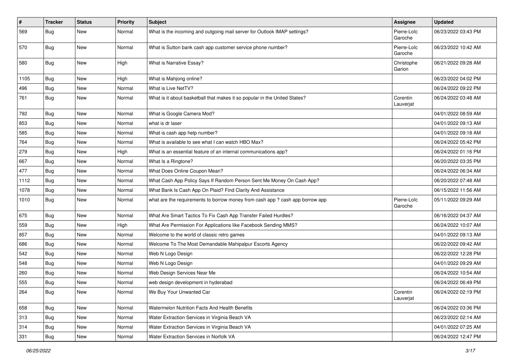| $\vert$ # | <b>Tracker</b> | <b>Status</b> | <b>Priority</b> | <b>Subject</b>                                                                | <b>Assignee</b>        | <b>Updated</b>      |
|-----------|----------------|---------------|-----------------|-------------------------------------------------------------------------------|------------------------|---------------------|
| 569       | <b>Bug</b>     | New           | Normal          | What is the incoming and outgoing mail server for Outlook IMAP settings?      | Pierre-Loïc<br>Garoche | 06/23/2022 03:43 PM |
| 570       | Bug            | New           | Normal          | What is Sutton bank cash app customer service phone number?                   | Pierre-Loïc<br>Garoche | 06/23/2022 10:42 AM |
| 580       | Bug            | <b>New</b>    | High            | What is Narrative Essay?                                                      | Christophe<br>Garion   | 06/21/2022 09:28 AM |
| 1105      | Bug            | New           | High            | What is Mahjong online?                                                       |                        | 06/23/2022 04:02 PM |
| 496       | Bug            | <b>New</b>    | Normal          | What is Live NetTV?                                                           |                        | 06/24/2022 09:22 PM |
| 761       | <b>Bug</b>     | <b>New</b>    | Normal          | What is it about basketball that makes it so popular in the United States?    | Corentin<br>Lauverjat  | 06/24/2022 03:48 AM |
| 792       | <b>Bug</b>     | New           | Normal          | What is Google Camera Mod?                                                    |                        | 04/01/2022 08:59 AM |
| 853       | <b>Bug</b>     | New           | Normal          | what is dr laser                                                              |                        | 04/01/2022 09:13 AM |
| 585       | Bug            | <b>New</b>    | Normal          | What is cash app help number?                                                 |                        | 04/01/2022 09:18 AM |
| 764       | <b>Bug</b>     | New           | Normal          | What is available to see what I can watch HBO Max?                            |                        | 06/24/2022 05:42 PM |
| 279       | Bug            | New           | High            | What is an essential feature of an internal communications app?               |                        | 06/24/2022 01:16 PM |
| 667       | <b>Bug</b>     | New           | Normal          | What Is a Ringtone?                                                           |                        | 06/20/2022 03:35 PM |
| 477       | <b>Bug</b>     | New           | Normal          | What Does Online Coupon Mean?                                                 |                        | 06/24/2022 06:34 AM |
| 1112      | Bug            | New           | Normal          | What Cash App Policy Says If Random Person Sent Me Money On Cash App?         |                        | 06/20/2022 07:48 AM |
| 1078      | <b>Bug</b>     | New           | Normal          | What Bank Is Cash App On Plaid? Find Clarity And Assistance                   |                        | 06/15/2022 11:56 AM |
| 1010      | <b>Bug</b>     | New           | Normal          | what are the requirements to borrow money from cash app ? cash app borrow app | Pierre-Loïc<br>Garoche | 05/11/2022 09:29 AM |
| 675       | <b>Bug</b>     | <b>New</b>    | Normal          | What Are Smart Tactics To Fix Cash App Transfer Failed Hurdles?               |                        | 06/16/2022 04:37 AM |
| 559       | Bug            | New           | High            | What Are Permission For Applications like Facebook Sending MMS?               |                        | 06/24/2022 10:07 AM |
| 857       | <b>Bug</b>     | New           | Normal          | Welcome to the world of classic retro games                                   |                        | 04/01/2022 09:13 AM |
| 686       | Bug            | New           | Normal          | Welcome To The Most Demandable Mahipalpur Escorts Agency                      |                        | 06/22/2022 09:42 AM |
| 542       | Bug            | <b>New</b>    | Normal          | Web N Logo Design                                                             |                        | 06/22/2022 12:28 PM |
| 548       | Bug            | New           | Normal          | Web N Logo Design                                                             |                        | 04/01/2022 09:29 AM |
| 260       | <b>Bug</b>     | New           | Normal          | Web Design Services Near Me                                                   |                        | 06/24/2022 10:54 AM |
| 555       | Bug            | New           | Normal          | web design development in hyderabad                                           |                        | 06/24/2022 06:49 PM |
| 264       | Bug            | New           | Normal          | We Buy Your Unwanted Car                                                      | Corentin<br>Lauverjat  | 06/24/2022 02:19 PM |
| 658       | Bug            | New           | Normal          | Watermelon Nutrition Facts And Health Benefits                                |                        | 06/24/2022 03:36 PM |
| 313       | Bug            | New           | Normal          | Water Extraction Services in Virginia Beach VA                                |                        | 06/23/2022 02:14 AM |
| 314       | Bug            | New           | Normal          | Water Extraction Services in Virginia Beach VA                                |                        | 04/01/2022 07:25 AM |
| 331       | Bug            | New           | Normal          | Water Extraction Services in Norfolk VA                                       |                        | 06/24/2022 12:47 PM |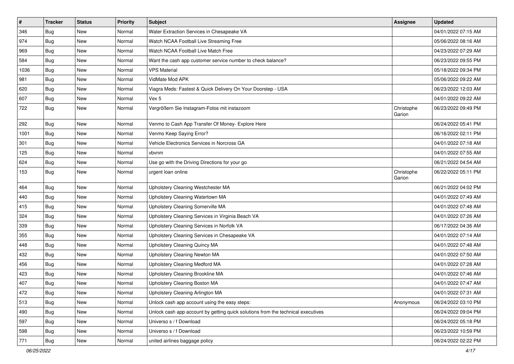| $\sharp$ | <b>Tracker</b> | <b>Status</b> | <b>Priority</b> | Subject                                                                          | <b>Assignee</b>      | <b>Updated</b>      |
|----------|----------------|---------------|-----------------|----------------------------------------------------------------------------------|----------------------|---------------------|
| 346      | Bug            | New           | Normal          | Water Extraction Services in Chesapeake VA                                       |                      | 04/01/2022 07:15 AM |
| 974      | Bug            | <b>New</b>    | Normal          | Watch NCAA Football Live Streaming Free                                          |                      | 05/06/2022 08:16 AM |
| 969      | Bug            | New           | Normal          | Watch NCAA Football Live Match Free                                              |                      | 04/23/2022 07:29 AM |
| 584      | Bug            | New           | Normal          | Want the cash app customer service number to check balance?                      |                      | 06/23/2022 09:55 PM |
| 1036     | Bug            | <b>New</b>    | Normal          | <b>VPS Material</b>                                                              |                      | 05/18/2022 09:34 PM |
| 981      | Bug            | New           | Normal          | VidMate Mod APK                                                                  |                      | 05/06/2022 09:22 AM |
| 620      | Bug            | <b>New</b>    | Normal          | Viagra Meds: Fastest & Quick Delivery On Your Doorstep - USA                     |                      | 06/23/2022 12:03 AM |
| 607      | Bug            | New           | Normal          | Vex 5                                                                            |                      | 04/01/2022 09:22 AM |
| 722      | Bug            | New           | Normal          | Vergrößern Sie Instagram-Fotos mit instazoom                                     | Christophe<br>Garion | 06/23/2022 09:49 PM |
| 292      | Bug            | <b>New</b>    | Normal          | Venmo to Cash App Transfer Of Money- Explore Here                                |                      | 06/24/2022 05:41 PM |
| 1001     | Bug            | New           | Normal          | Venmo Keep Saying Error?                                                         |                      | 06/16/2022 02:11 PM |
| 301      | Bug            | <b>New</b>    | Normal          | Vehicle Electronics Services in Norcross GA                                      |                      | 04/01/2022 07:18 AM |
| 125      | Bug            | New           | Normal          | vbvnm                                                                            |                      | 04/01/2022 07:55 AM |
| 624      | Bug            | <b>New</b>    | Normal          | Use go with the Driving Directions for your go                                   |                      | 06/21/2022 04:54 AM |
| 153      | Bug            | New           | Normal          | urgent loan online                                                               | Christophe<br>Garion | 06/22/2022 05:11 PM |
| 464      | Bug            | <b>New</b>    | Normal          | Upholstery Cleaning Westchester MA                                               |                      | 06/21/2022 04:02 PM |
| 440      | Bug            | New           | Normal          | Upholstery Cleaning Watertown MA                                                 |                      | 04/01/2022 07:49 AM |
| 415      | Bug            | New           | Normal          | Upholstery Cleaning Somerville MA                                                |                      | 04/01/2022 07:48 AM |
| 324      | Bug            | New           | Normal          | Upholstery Cleaning Services in Virginia Beach VA                                |                      | 04/01/2022 07:26 AM |
| 339      | Bug            | New           | Normal          | Upholstery Cleaning Services in Norfolk VA                                       |                      | 06/17/2022 04:36 AM |
| 355      | Bug            | <b>New</b>    | Normal          | Upholstery Cleaning Services in Chesapeake VA                                    |                      | 04/01/2022 07:14 AM |
| 448      | Bug            | New           | Normal          | Upholstery Cleaning Quincy MA                                                    |                      | 04/01/2022 07:48 AM |
| 432      | Bug            | New           | Normal          | <b>Upholstery Cleaning Newton MA</b>                                             |                      | 04/01/2022 07:50 AM |
| 456      | Bug            | <b>New</b>    | Normal          | <b>Upholstery Cleaning Medford MA</b>                                            |                      | 04/01/2022 07:28 AM |
| 423      | Bug            | New           | Normal          | Upholstery Cleaning Brookline MA                                                 |                      | 04/01/2022 07:46 AM |
| 407      | Bug            | New           | Normal          | Upholstery Cleaning Boston MA                                                    |                      | 04/01/2022 07:47 AM |
| 472      | Bug            | New           | Normal          | Upholstery Cleaning Arlington MA                                                 |                      | 04/01/2022 07:31 AM |
| 513      | Bug            | New           | Normal          | Unlock cash app account using the easy steps:                                    | Anonymous            | 06/24/2022 03:10 PM |
| 490      | Bug            | New           | Normal          | Unlock cash app account by getting quick solutions from the technical executives |                      | 06/24/2022 09:04 PM |
| 597      | Bug            | New           | Normal          | Universo s / f Download                                                          |                      | 06/24/2022 05:18 PM |
| 598      | <b>Bug</b>     | New           | Normal          | Universo s / f Download                                                          |                      | 06/23/2022 10:59 PM |
| 771      | Bug            | New           | Normal          | united airlines baggage policy                                                   |                      | 06/24/2022 02:22 PM |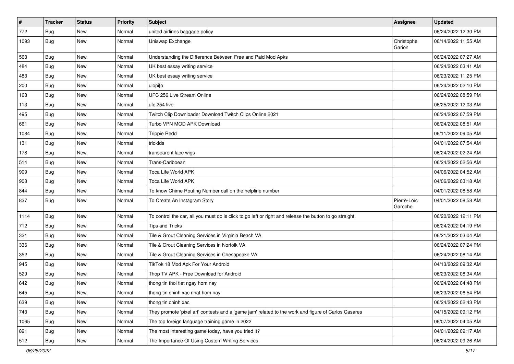| $\pmb{\#}$ | <b>Tracker</b> | <b>Status</b> | <b>Priority</b> | <b>Subject</b>                                                                                          | Assignee               | <b>Updated</b>      |
|------------|----------------|---------------|-----------------|---------------------------------------------------------------------------------------------------------|------------------------|---------------------|
| 772        | <b>Bug</b>     | <b>New</b>    | Normal          | united airlines baggage policy                                                                          |                        | 06/24/2022 12:30 PM |
| 1093       | Bug            | <b>New</b>    | Normal          | Uniswap Exchange                                                                                        | Christophe<br>Garion   | 06/14/2022 11:55 AM |
| 563        | Bug            | <b>New</b>    | Normal          | Understanding the Difference Between Free and Paid Mod Apks                                             |                        | 06/24/2022 07:27 AM |
| 484        | Bug            | <b>New</b>    | Normal          | UK best essay writing service                                                                           |                        | 06/24/2022 03:41 AM |
| 483        | Bug            | New           | Normal          | UK best essay writing service                                                                           |                        | 06/23/2022 11:25 PM |
| 200        | <b>Bug</b>     | <b>New</b>    | Normal          | uiopi[o                                                                                                 |                        | 06/24/2022 02:10 PM |
| 168        | <b>Bug</b>     | <b>New</b>    | Normal          | UFC 256 Live Stream Online                                                                              |                        | 06/24/2022 08:59 PM |
| 113        | <b>Bug</b>     | <b>New</b>    | Normal          | ufc 254 live                                                                                            |                        | 06/25/2022 12:03 AM |
| 495        | <b>Bug</b>     | <b>New</b>    | Normal          | Twitch Clip Downloader Download Twitch Clips Online 2021                                                |                        | 06/24/2022 07:59 PM |
| 661        | Bug            | New           | Normal          | Turbo VPN MOD APK Download                                                                              |                        | 06/24/2022 08:51 AM |
| 1084       | <b>Bug</b>     | New           | Normal          | <b>Trippie Redd</b>                                                                                     |                        | 06/11/2022 09:05 AM |
| 131        | Bug            | <b>New</b>    | Normal          | triokids                                                                                                |                        | 04/01/2022 07:54 AM |
| 178        | <b>Bug</b>     | <b>New</b>    | Normal          | transparent lace wigs                                                                                   |                        | 06/24/2022 02:24 AM |
| 514        | <b>Bug</b>     | New           | Normal          | Trans-Caribbean                                                                                         |                        | 06/24/2022 02:56 AM |
| 909        | Bug            | <b>New</b>    | Normal          | Toca Life World APK                                                                                     |                        | 04/06/2022 04:52 AM |
| 908        | <b>Bug</b>     | <b>New</b>    | Normal          | Toca Life World APK                                                                                     |                        | 04/06/2022 03:18 AM |
| 844        | Bug            | New           | Normal          | To know Chime Routing Number call on the helpline number                                                |                        | 04/01/2022 08:58 AM |
| 837        | Bug            | <b>New</b>    | Normal          | To Create An Instagram Story                                                                            | Pierre-Loïc<br>Garoche | 04/01/2022 08:58 AM |
| 1114       | Bug            | <b>New</b>    | Normal          | To control the car, all you must do is click to go left or right and release the button to go straight. |                        | 06/20/2022 12:11 PM |
| 712        | Bug            | <b>New</b>    | Normal          | Tips and Tricks                                                                                         |                        | 06/24/2022 04:19 PM |
| 321        | <b>Bug</b>     | <b>New</b>    | Normal          | Tile & Grout Cleaning Services in Virginia Beach VA                                                     |                        | 06/21/2022 03:04 AM |
| 336        | Bug            | New           | Normal          | Tile & Grout Cleaning Services in Norfolk VA                                                            |                        | 06/24/2022 07:24 PM |
| 352        | <b>Bug</b>     | <b>New</b>    | Normal          | Tile & Grout Cleaning Services in Chesapeake VA                                                         |                        | 06/24/2022 08:14 AM |
| 945        | Bug            | <b>New</b>    | Normal          | TikTok 18 Mod Apk For Your Android                                                                      |                        | 04/13/2022 09:32 AM |
| 529        | <b>Bug</b>     | <b>New</b>    | Normal          | Thop TV APK - Free Download for Android                                                                 |                        | 06/23/2022 08:34 AM |
| 642        | Bug            | <b>New</b>    | Normal          | thong tin thoi tiet ngay hom nay                                                                        |                        | 06/24/2022 04:48 PM |
| 645        | Bug            | New           | Normal          | thong tin chinh xac nhat hom nay                                                                        |                        | 06/23/2022 06:54 PM |
| 639        | Bug            | New           | Normal          | thong tin chinh xac                                                                                     |                        | 06/24/2022 02:43 PM |
| 743        | <b>Bug</b>     | New           | Normal          | They promote 'pixel art' contests and a 'game jam' related to the work and figure of Carlos Casares     |                        | 04/15/2022 09:12 PM |
| 1065       | <b>Bug</b>     | New           | Normal          | The top foreign language training game in 2022                                                          |                        | 06/07/2022 04:05 AM |
| 891        | Bug            | New           | Normal          | The most interesting game today, have you tried it?                                                     |                        | 04/01/2022 09:17 AM |
| 512        | Bug            | New           | Normal          | The Importance Of Using Custom Writing Services                                                         |                        | 06/24/2022 09:26 AM |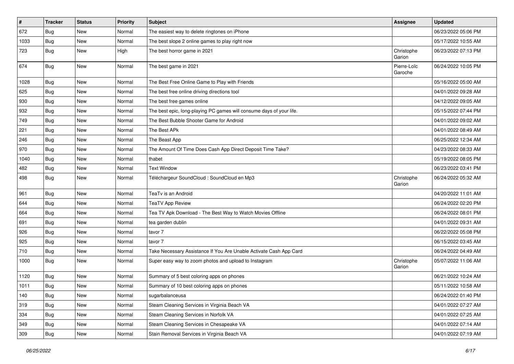| $\vert$ # | <b>Tracker</b> | <b>Status</b> | <b>Priority</b> | <b>Subject</b>                                                       | Assignee               | <b>Updated</b>      |
|-----------|----------------|---------------|-----------------|----------------------------------------------------------------------|------------------------|---------------------|
| 672       | Bug            | New           | Normal          | The easiest way to delete ringtones on iPhone                        |                        | 06/23/2022 05:06 PM |
| 1033      | <b>Bug</b>     | <b>New</b>    | Normal          | The best slope 2 online games to play right now                      |                        | 05/17/2022 10:55 AM |
| 723       | <b>Bug</b>     | <b>New</b>    | High            | The best horror game in 2021                                         | Christophe<br>Garion   | 06/23/2022 07:13 PM |
| 674       | Bug            | <b>New</b>    | Normal          | The best game in 2021                                                | Pierre-Loïc<br>Garoche | 06/24/2022 10:05 PM |
| 1028      | Bug            | <b>New</b>    | Normal          | The Best Free Online Game to Play with Friends                       |                        | 05/16/2022 05:00 AM |
| 625       | Bug            | <b>New</b>    | Normal          | The best free online driving directions tool                         |                        | 04/01/2022 09:28 AM |
| 930       | Bug            | <b>New</b>    | Normal          | The best free games online                                           |                        | 04/12/2022 09:05 AM |
| 932       | Bug            | <b>New</b>    | Normal          | The best epic, long-playing PC games will consume days of your life. |                        | 05/15/2022 07:44 PM |
| 749       | Bug            | New           | Normal          | The Best Bubble Shooter Game for Android                             |                        | 04/01/2022 09:02 AM |
| 221       | <b>Bug</b>     | New           | Normal          | The Best APk                                                         |                        | 04/01/2022 08:49 AM |
| 246       | Bug            | <b>New</b>    | Normal          | The Beast App                                                        |                        | 06/25/2022 12:34 AM |
| 970       | <b>Bug</b>     | <b>New</b>    | Normal          | The Amount Of Time Does Cash App Direct Deposit Time Take?           |                        | 04/23/2022 08:33 AM |
| 1040      | Bug            | <b>New</b>    | Normal          | thabet                                                               |                        | 05/19/2022 08:05 PM |
| 482       | Bug            | New           | Normal          | <b>Text Window</b>                                                   |                        | 06/23/2022 03:41 PM |
| 498       | <b>Bug</b>     | New           | Normal          | Téléchargeur SoundCloud : SoundCloud en Mp3                          | Christophe<br>Garion   | 06/24/2022 05:32 AM |
| 961       | Bug            | <b>New</b>    | Normal          | TeaTv is an Android                                                  |                        | 04/20/2022 11:01 AM |
| 644       | Bug            | <b>New</b>    | Normal          | <b>TeaTV App Review</b>                                              |                        | 06/24/2022 02:20 PM |
| 664       | Bug            | <b>New</b>    | Normal          | Tea TV Apk Download - The Best Way to Watch Movies Offline           |                        | 06/24/2022 08:01 PM |
| 691       | Bug            | <b>New</b>    | Normal          | tea garden dublin                                                    |                        | 04/01/2022 09:31 AM |
| 926       | Bug            | <b>New</b>    | Normal          | tavor 7                                                              |                        | 06/22/2022 05:08 PM |
| 925       | <b>Bug</b>     | New           | Normal          | tavor 7                                                              |                        | 06/15/2022 03:45 AM |
| 710       | <b>Bug</b>     | New           | Normal          | Take Necessary Assistance If You Are Unable Activate Cash App Card   |                        | 06/24/2022 04:49 AM |
| 1000      | Bug            | <b>New</b>    | Normal          | Super easy way to zoom photos and upload to Instagram                | Christophe<br>Garion   | 05/07/2022 11:06 AM |
| 1120      | <b>Bug</b>     | <b>New</b>    | Normal          | Summary of 5 best coloring apps on phones                            |                        | 06/21/2022 10:24 AM |
| 1011      | Bug            | New           | Normal          | Summary of 10 best coloring apps on phones                           |                        | 05/11/2022 10:58 AM |
| 140       | <b>Bug</b>     | New           | Normal          | sugarbalanceusa                                                      |                        | 06/24/2022 01:40 PM |
| 319       | <b>Bug</b>     | New           | Normal          | Steam Cleaning Services in Virginia Beach VA                         |                        | 04/01/2022 07:27 AM |
| 334       | Bug            | New           | Normal          | Steam Cleaning Services in Norfolk VA                                |                        | 04/01/2022 07:25 AM |
| 349       | <b>Bug</b>     | New           | Normal          | Steam Cleaning Services in Chesapeake VA                             |                        | 04/01/2022 07:14 AM |
| 309       | <b>Bug</b>     | New           | Normal          | Stain Removal Services in Virginia Beach VA                          |                        | 04/01/2022 07:19 AM |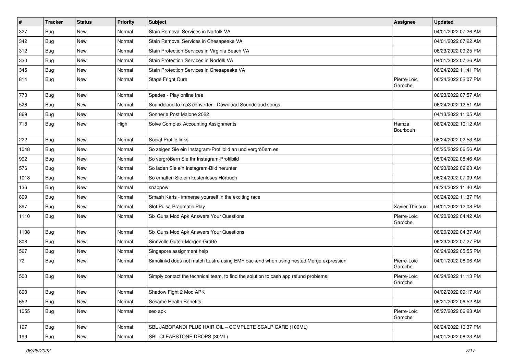| $\pmb{\#}$ | <b>Tracker</b> | <b>Status</b> | <b>Priority</b> | Subject                                                                              | Assignee               | <b>Updated</b>      |
|------------|----------------|---------------|-----------------|--------------------------------------------------------------------------------------|------------------------|---------------------|
| 327        | <b>Bug</b>     | <b>New</b>    | Normal          | Stain Removal Services in Norfolk VA                                                 |                        | 04/01/2022 07:26 AM |
| 342        | <b>Bug</b>     | <b>New</b>    | Normal          | Stain Removal Services in Chesapeake VA                                              |                        | 04/01/2022 07:22 AM |
| 312        | Bug            | New           | Normal          | Stain Protection Services in Virginia Beach VA                                       |                        | 06/23/2022 09:25 PM |
| 330        | Bug            | <b>New</b>    | Normal          | Stain Protection Services in Norfolk VA                                              |                        | 04/01/2022 07:26 AM |
| 345        | Bug            | <b>New</b>    | Normal          | Stain Protection Services in Chesapeake VA                                           |                        | 06/24/2022 11:41 PM |
| 814        | <b>Bug</b>     | <b>New</b>    | Normal          | Stage Fright Cure                                                                    | Pierre-Loïc<br>Garoche | 06/24/2022 02:07 PM |
| 773        | <b>Bug</b>     | <b>New</b>    | Normal          | Spades - Play online free                                                            |                        | 06/23/2022 07:57 AM |
| 526        | <b>Bug</b>     | <b>New</b>    | Normal          | Soundcloud to mp3 converter - Download Soundcloud songs                              |                        | 06/24/2022 12:51 AM |
| 869        | <b>Bug</b>     | <b>New</b>    | Normal          | Sonnerie Post Malone 2022                                                            |                        | 04/13/2022 11:05 AM |
| 718        | Bug            | New           | High            | Solve Complex Accounting Assignments                                                 | Hamza<br>Bourbouh      | 06/24/2022 10:12 AM |
| 222        | Bug            | <b>New</b>    | Normal          | Social Profile links                                                                 |                        | 06/24/2022 02:53 AM |
| 1048       | Bug            | <b>New</b>    | Normal          | So zeigen Sie ein Instagram-Profilbild an und vergrößern es                          |                        | 05/25/2022 06:56 AM |
| 992        | <b>Bug</b>     | <b>New</b>    | Normal          | So vergrößern Sie Ihr Instagram-Profilbild                                           |                        | 05/04/2022 08:46 AM |
| 576        | Bug            | <b>New</b>    | Normal          | So laden Sie ein Instagram-Bild herunter                                             |                        | 06/23/2022 09:23 AM |
| 1018       | Bug            | <b>New</b>    | Normal          | So erhalten Sie ein kostenloses Hörbuch                                              |                        | 06/24/2022 07:09 AM |
| 136        | Bug            | <b>New</b>    | Normal          | snappow                                                                              |                        | 06/24/2022 11:40 AM |
| 809        | <b>Bug</b>     | <b>New</b>    | Normal          | Smash Karts - immerse yourself in the exciting race                                  |                        | 06/24/2022 11:37 PM |
| 897        | Bug            | <b>New</b>    | Normal          | Slot Pulsa Pragmatic Play                                                            | Xavier Thirioux        | 04/01/2022 12:08 PM |
| 1110       | <b>Bug</b>     | <b>New</b>    | Normal          | Six Guns Mod Apk Answers Your Questions                                              | Pierre-Loïc<br>Garoche | 06/20/2022 04:42 AM |
| 1108       | Bug            | <b>New</b>    | Normal          | Six Guns Mod Apk Answers Your Questions                                              |                        | 06/20/2022 04:37 AM |
| 808        | Bug            | New           | Normal          | Sinnvolle Guten-Morgen-Grüße                                                         |                        | 06/23/2022 07:27 PM |
| 567        | <b>Bug</b>     | <b>New</b>    | Normal          | Singapore assignment help                                                            |                        | 06/24/2022 05:55 PM |
| 72         | <b>Bug</b>     | <b>New</b>    | Normal          | Simulinkd does not match Lustre using EMF backend when using nested Merge expression | Pierre-Loïc<br>Garoche | 04/01/2022 08:06 AM |
| 500        | Bug            | <b>New</b>    | Normal          | Simply contact the technical team, to find the solution to cash app refund problems. | Pierre-Loïc<br>Garoche | 06/24/2022 11:13 PM |
| 898        | <b>Bug</b>     | New           | Normal          | Shadow Fight 2 Mod APK                                                               |                        | 04/02/2022 09:17 AM |
| 652        | Bug            | New           | Normal          | Sesame Health Benefits                                                               |                        | 06/21/2022 06:52 AM |
| 1055       | Bug            | New           | Normal          | seo apk                                                                              | Pierre-Loïc<br>Garoche | 05/27/2022 06:23 AM |
| 197        | Bug            | New           | Normal          | SBL JABORANDI PLUS HAIR OIL - COMPLETE SCALP CARE (100ML)                            |                        | 06/24/2022 10:37 PM |
| 199        | Bug            | New           | Normal          | SBL CLEARSTONE DROPS (30ML)                                                          |                        | 04/01/2022 08:23 AM |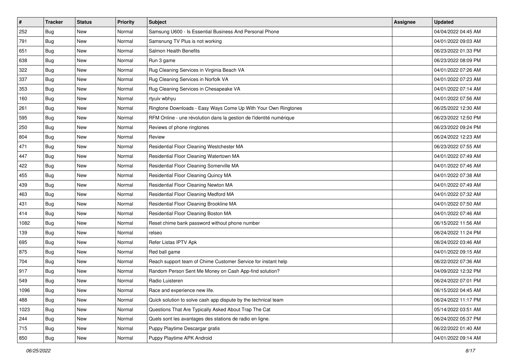| #    | <b>Tracker</b> | <b>Status</b> | <b>Priority</b> | <b>Subject</b>                                                      | <b>Assignee</b> | <b>Updated</b>      |
|------|----------------|---------------|-----------------|---------------------------------------------------------------------|-----------------|---------------------|
| 252  | Bug            | New           | Normal          | Samsung U600 - Is Essential Business And Personal Phone             |                 | 04/04/2022 04:45 AM |
| 791  | Bug            | New           | Normal          | Samsnung TV Plus is not working                                     |                 | 04/01/2022 09:03 AM |
| 651  | Bug            | New           | Normal          | Salmon Health Benefits                                              |                 | 06/23/2022 01:33 PM |
| 638  | Bug            | <b>New</b>    | Normal          | Run 3 game                                                          |                 | 06/23/2022 08:09 PM |
| 322  | Bug            | <b>New</b>    | Normal          | Rug Cleaning Services in Virginia Beach VA                          |                 | 04/01/2022 07:26 AM |
| 337  | Bug            | <b>New</b>    | Normal          | Rug Cleaning Services in Norfolk VA                                 |                 | 04/01/2022 07:23 AM |
| 353  | <b>Bug</b>     | New           | Normal          | Rug Cleaning Services in Chesapeake VA                              |                 | 04/01/2022 07:14 AM |
| 160  | <b>Bug</b>     | New           | Normal          | rtyuiv wbhyu                                                        |                 | 04/01/2022 07:56 AM |
| 261  | Bug            | New           | Normal          | Ringtone Downloads - Easy Ways Come Up With Your Own Ringtones      |                 | 06/25/2022 12:30 AM |
| 595  | Bug            | <b>New</b>    | Normal          | RFM Online - une révolution dans la gestion de l'identité numérique |                 | 06/23/2022 12:50 PM |
| 250  | <b>Bug</b>     | New           | Normal          | Reviews of phone ringtones                                          |                 | 06/23/2022 09:24 PM |
| 804  | Bug            | New           | Normal          | Review                                                              |                 | 06/24/2022 12:23 AM |
| 471  | Bug            | <b>New</b>    | Normal          | Residential Floor Cleaning Westchester MA                           |                 | 06/23/2022 07:55 AM |
| 447  | <b>Bug</b>     | New           | Normal          | Residential Floor Cleaning Watertown MA                             |                 | 04/01/2022 07:49 AM |
| 422  | Bug            | <b>New</b>    | Normal          | Residential Floor Cleaning Somerville MA                            |                 | 04/01/2022 07:46 AM |
| 455  | Bug            | New           | Normal          | Residential Floor Cleaning Quincy MA                                |                 | 04/01/2022 07:38 AM |
| 439  | <b>Bug</b>     | <b>New</b>    | Normal          | Residential Floor Cleaning Newton MA                                |                 | 04/01/2022 07:49 AM |
| 463  | Bug            | New           | Normal          | Residential Floor Cleaning Medford MA                               |                 | 04/01/2022 07:32 AM |
| 431  | Bug            | New           | Normal          | Residential Floor Cleaning Brookline MA                             |                 | 04/01/2022 07:50 AM |
| 414  | Bug            | New           | Normal          | Residential Floor Cleaning Boston MA                                |                 | 04/01/2022 07:46 AM |
| 1082 | <b>Bug</b>     | New           | Normal          | Reset chime bank password without phone number                      |                 | 06/15/2022 11:56 AM |
| 139  | Bug            | New           | Normal          | relseo                                                              |                 | 06/24/2022 11:24 PM |
| 695  | Bug            | <b>New</b>    | Normal          | Refer Listas IPTV Apk                                               |                 | 06/24/2022 03:46 AM |
| 875  | <b>Bug</b>     | New           | Normal          | Red ball game                                                       |                 | 04/01/2022 09:15 AM |
| 704  | <b>Bug</b>     | New           | Normal          | Reach support team of Chime Customer Service for instant help       |                 | 06/22/2022 07:36 AM |
| 917  | Bug            | <b>New</b>    | Normal          | Random Person Sent Me Money on Cash App-find solution?              |                 | 04/09/2022 12:32 PM |
| 549  | <b>Bug</b>     | New           | Normal          | Radio Luisteren                                                     |                 | 06/24/2022 07:01 PM |
| 1096 | <b>Bug</b>     | New           | Normal          | Race and experience new life.                                       |                 | 06/15/2022 04:45 AM |
| 488  | Bug            | New           | Normal          | Quick solution to solve cash app dispute by the technical team      |                 | 06/24/2022 11:17 PM |
| 1023 | <b>Bug</b>     | New           | Normal          | Questions That Are Typically Asked About Trap The Cat               |                 | 05/14/2022 03:51 AM |
| 244  | Bug            | New           | Normal          | Quels sont les avantages des stations de radio en ligne.            |                 | 06/24/2022 05:37 PM |
| 715  | <b>Bug</b>     | New           | Normal          | Puppy Playtime Descargar gratis                                     |                 | 06/22/2022 01:40 AM |
| 850  | <b>Bug</b>     | New           | Normal          | Puppy Playtime APK Android                                          |                 | 04/01/2022 09:14 AM |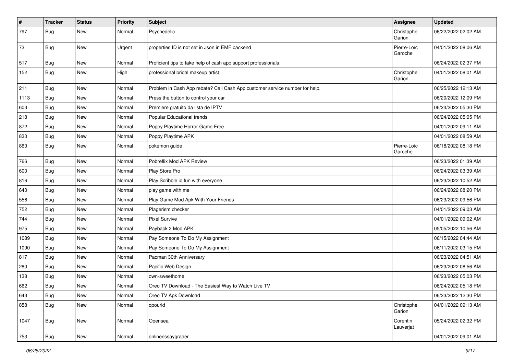| $\pmb{\#}$ | <b>Tracker</b> | <b>Status</b> | <b>Priority</b> | Subject                                                                     | Assignee               | <b>Updated</b>      |
|------------|----------------|---------------|-----------------|-----------------------------------------------------------------------------|------------------------|---------------------|
| 797        | Bug            | <b>New</b>    | Normal          | Psychedelic                                                                 | Christophe<br>Garion   | 06/22/2022 02:02 AM |
| 73         | Bug            | <b>New</b>    | Urgent          | properties ID is not set in Json in EMF backend                             | Pierre-Loïc<br>Garoche | 04/01/2022 08:06 AM |
| 517        | Bug            | New           | Normal          | Proficient tips to take help of cash app support professionals:             |                        | 06/24/2022 02:37 PM |
| 152        | Bug            | <b>New</b>    | High            | professional bridal makeup artist                                           | Christophe<br>Garion   | 04/01/2022 08:01 AM |
| 211        | <b>Bug</b>     | New           | Normal          | Problem in Cash App rebate? Call Cash App customer service number for help. |                        | 06/25/2022 12:13 AM |
| 1113       | <b>Bug</b>     | <b>New</b>    | Normal          | Press the button to control your car                                        |                        | 06/20/2022 12:09 PM |
| 603        | <b>Bug</b>     | <b>New</b>    | Normal          | Premiere gratuito da lista de IPTV                                          |                        | 06/24/2022 05:30 PM |
| 218        | <b>Bug</b>     | New           | Normal          | Popular Educational trends                                                  |                        | 06/24/2022 05:05 PM |
| 872        | <b>Bug</b>     | <b>New</b>    | Normal          | Poppy Playtime Horror Game Free                                             |                        | 04/01/2022 09:11 AM |
| 830        | <b>Bug</b>     | New           | Normal          | Poppy Playtime APK                                                          |                        | 04/01/2022 08:59 AM |
| 860        | Bug            | <b>New</b>    | Normal          | pokemon guide                                                               | Pierre-Loïc<br>Garoche | 06/18/2022 08:18 PM |
| 766        | Bug            | New           | Normal          | Pobreflix Mod APK Review                                                    |                        | 06/23/2022 01:39 AM |
| 600        | <b>Bug</b>     | <b>New</b>    | Normal          | Play Store Pro                                                              |                        | 06/24/2022 03:39 AM |
| 816        | Bug            | <b>New</b>    | Normal          | Play Scribble io fun with everyone                                          |                        | 06/23/2022 10:52 AM |
| 640        | <b>Bug</b>     | New           | Normal          | play game with me                                                           |                        | 06/24/2022 08:20 PM |
| 556        | <b>Bug</b>     | <b>New</b>    | Normal          | Play Game Mod Apk With Your Friends                                         |                        | 06/23/2022 09:56 PM |
| 752        | <b>Bug</b>     | <b>New</b>    | Normal          | Plagerism checker                                                           |                        | 04/01/2022 09:03 AM |
| 744        | <b>Bug</b>     | <b>New</b>    | Normal          | <b>Pixel Survive</b>                                                        |                        | 04/01/2022 09:02 AM |
| 975        | <b>Bug</b>     | New           | Normal          | Payback 2 Mod APK                                                           |                        | 05/05/2022 10:56 AM |
| 1089       | Bug            | New           | Normal          | Pay Someone To Do My Assignment                                             |                        | 06/15/2022 04:44 AM |
| 1090       | <b>Bug</b>     | <b>New</b>    | Normal          | Pay Someone To Do My Assignment                                             |                        | 06/11/2022 03:15 PM |
| 817        | Bug            | <b>New</b>    | Normal          | Pacman 30th Anniversary                                                     |                        | 06/23/2022 04:51 AM |
| 280        | <b>Bug</b>     | <b>New</b>    | Normal          | Pacific Web Design                                                          |                        | 06/23/2022 08:56 AM |
| 138        | Bug            | <b>New</b>    | Normal          | own-sweethome                                                               |                        | 06/23/2022 05:03 PM |
| 662        | <b>Bug</b>     | New           | Normal          | Oreo TV Download - The Easiest Way to Watch Live TV                         |                        | 06/24/2022 05:18 PM |
| 643        | Bug            | New           | Normal          | Oreo TV Apk Download                                                        |                        | 06/23/2022 12:30 PM |
| 858        | <b>Bug</b>     | New           | Normal          | opourid                                                                     | Christophe<br>Garion   | 04/01/2022 09:13 AM |
| 1047       | <b>Bug</b>     | New           | Normal          | Opensea                                                                     | Corentin<br>Lauverjat  | 05/24/2022 02:32 PM |
| 753        | Bug            | New           | Normal          | onlineessaygrader                                                           |                        | 04/01/2022 09:01 AM |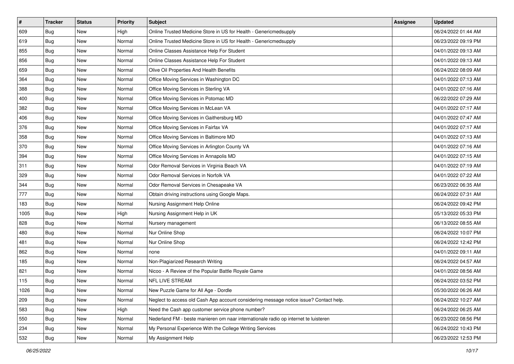| #    | <b>Tracker</b> | <b>Status</b> | <b>Priority</b> | Subject                                                                                | <b>Assignee</b> | <b>Updated</b>      |
|------|----------------|---------------|-----------------|----------------------------------------------------------------------------------------|-----------------|---------------------|
| 609  | Bug            | New           | High            | Online Trusted Medicine Store in US for Health - Genericmedsupply                      |                 | 06/24/2022 01:44 AM |
| 619  | Bug            | New           | Normal          | Online Trusted Medicine Store in US for Health - Genericmedsupply                      |                 | 06/23/2022 09:19 PM |
| 855  | Bug            | New           | Normal          | Online Classes Assistance Help For Student                                             |                 | 04/01/2022 09:13 AM |
| 856  | Bug            | <b>New</b>    | Normal          | Online Classes Assistance Help For Student                                             |                 | 04/01/2022 09:13 AM |
| 659  | Bug            | <b>New</b>    | Normal          | Olive Oil Properties And Health Benefits                                               |                 | 06/24/2022 08:09 AM |
| 364  | Bug            | New           | Normal          | Office Moving Services in Washington DC                                                |                 | 04/01/2022 07:13 AM |
| 388  | Bug            | New           | Normal          | Office Moving Services in Sterling VA                                                  |                 | 04/01/2022 07:16 AM |
| 400  | <b>Bug</b>     | New           | Normal          | Office Moving Services in Potomac MD                                                   |                 | 06/22/2022 07:29 AM |
| 382  | Bug            | New           | Normal          | Office Moving Services in McLean VA                                                    |                 | 04/01/2022 07:17 AM |
| 406  | Bug            | New           | Normal          | Office Moving Services in Gaithersburg MD                                              |                 | 04/01/2022 07:47 AM |
| 376  | <b>Bug</b>     | New           | Normal          | Office Moving Services in Fairfax VA                                                   |                 | 04/01/2022 07:17 AM |
| 358  | Bug            | New           | Normal          | Office Moving Services in Baltimore MD                                                 |                 | 04/01/2022 07:13 AM |
| 370  | Bug            | <b>New</b>    | Normal          | Office Moving Services in Arlington County VA                                          |                 | 04/01/2022 07:16 AM |
| 394  | <b>Bug</b>     | New           | Normal          | Office Moving Services in Annapolis MD                                                 |                 | 04/01/2022 07:15 AM |
| 311  | <b>Bug</b>     | New           | Normal          | Odor Removal Services in Virginia Beach VA                                             |                 | 04/01/2022 07:19 AM |
| 329  | Bug            | New           | Normal          | Odor Removal Services in Norfolk VA                                                    |                 | 04/01/2022 07:22 AM |
| 344  | Bug            | New           | Normal          | Odor Removal Services in Chesapeake VA                                                 |                 | 06/23/2022 06:35 AM |
| 777  | Bug            | New           | Normal          | Obtain driving instructions using Google Maps.                                         |                 | 06/24/2022 07:31 AM |
| 183  | Bug            | New           | Normal          | Nursing Assignment Help Online                                                         |                 | 06/24/2022 09:42 PM |
| 1005 | Bug            | New           | High            | Nursing Assignment Help in UK                                                          |                 | 05/13/2022 05:33 PM |
| 828  | Bug            | New           | Normal          | Nursery management                                                                     |                 | 06/13/2022 08:55 AM |
| 480  | Bug            | New           | Normal          | Nur Online Shop                                                                        |                 | 06/24/2022 10:07 PM |
| 481  | Bug            | <b>New</b>    | Normal          | Nur Online Shop                                                                        |                 | 06/24/2022 12:42 PM |
| 862  | <b>Bug</b>     | New           | Normal          | none                                                                                   |                 | 04/01/2022 09:11 AM |
| 185  | <b>Bug</b>     | New           | Normal          | Non-Plagiarized Research Writing                                                       |                 | 06/24/2022 04:57 AM |
| 821  | <b>Bug</b>     | <b>New</b>    | Normal          | Nicoo - A Review of the Popular Battle Royale Game                                     |                 | 04/01/2022 08:56 AM |
| 115  | <b>Bug</b>     | New           | Normal          | NFL LIVE STREAM                                                                        |                 | 06/24/2022 03:52 PM |
| 1026 | <b>Bug</b>     | New           | Normal          | New Puzzle Game for All Age - Dordle                                                   |                 | 05/30/2022 06:26 AM |
| 209  | Bug            | New           | Normal          | Neglect to access old Cash App account considering message notice issue? Contact help. |                 | 06/24/2022 10:27 AM |
| 583  | <b>Bug</b>     | New           | High            | Need the Cash app customer service phone number?                                       |                 | 06/24/2022 06:25 AM |
| 550  | <b>Bug</b>     | New           | Normal          | Nederland FM - beste manieren om naar internationale radio op internet te luisteren    |                 | 06/23/2022 08:56 PM |
| 234  | <b>Bug</b>     | New           | Normal          | My Personal Experience With the College Writing Services                               |                 | 06/24/2022 10:43 PM |
| 532  | <b>Bug</b>     | New           | Normal          | My Assignment Help                                                                     |                 | 06/23/2022 12:53 PM |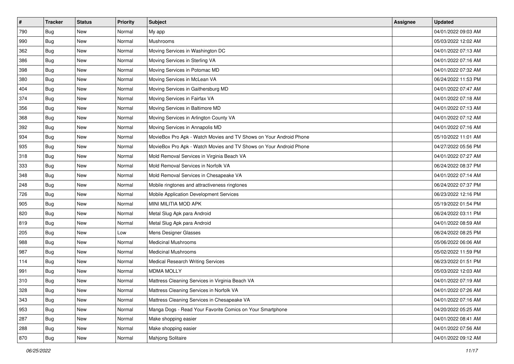| #   | <b>Tracker</b> | <b>Status</b> | <b>Priority</b> | <b>Subject</b>                                                     | <b>Assignee</b> | <b>Updated</b>      |
|-----|----------------|---------------|-----------------|--------------------------------------------------------------------|-----------------|---------------------|
| 790 | <b>Bug</b>     | New           | Normal          | My app                                                             |                 | 04/01/2022 09:03 AM |
| 990 | Bug            | New           | Normal          | Mushrooms                                                          |                 | 05/03/2022 12:02 AM |
| 362 | <b>Bug</b>     | New           | Normal          | Moving Services in Washington DC                                   |                 | 04/01/2022 07:13 AM |
| 386 | Bug            | <b>New</b>    | Normal          | Moving Services in Sterling VA                                     |                 | 04/01/2022 07:16 AM |
| 398 | Bug            | <b>New</b>    | Normal          | Moving Services in Potomac MD                                      |                 | 04/01/2022 07:32 AM |
| 380 | <b>Bug</b>     | New           | Normal          | Moving Services in McLean VA                                       |                 | 06/24/2022 11:53 PM |
| 404 | <b>Bug</b>     | New           | Normal          | Moving Services in Gaithersburg MD                                 |                 | 04/01/2022 07:47 AM |
| 374 | <b>Bug</b>     | New           | Normal          | Moving Services in Fairfax VA                                      |                 | 04/01/2022 07:18 AM |
| 356 | Bug            | New           | Normal          | Moving Services in Baltimore MD                                    |                 | 04/01/2022 07:13 AM |
| 368 | Bug            | <b>New</b>    | Normal          | Moving Services in Arlington County VA                             |                 | 04/01/2022 07:12 AM |
| 392 | <b>Bug</b>     | New           | Normal          | Moving Services in Annapolis MD                                    |                 | 04/01/2022 07:16 AM |
| 934 | <b>Bug</b>     | New           | Normal          | MovieBox Pro Apk - Watch Movies and TV Shows on Your Android Phone |                 | 05/10/2022 11:01 AM |
| 935 | Bug            | <b>New</b>    | Normal          | MovieBox Pro Apk - Watch Movies and TV Shows on Your Android Phone |                 | 04/27/2022 05:56 PM |
| 318 | <b>Bug</b>     | <b>New</b>    | Normal          | Mold Removal Services in Virginia Beach VA                         |                 | 04/01/2022 07:27 AM |
| 333 | Bug            | <b>New</b>    | Normal          | Mold Removal Services in Norfolk VA                                |                 | 06/24/2022 08:37 PM |
| 348 | <b>Bug</b>     | New           | Normal          | Mold Removal Services in Chesapeake VA                             |                 | 04/01/2022 07:14 AM |
| 248 | <b>Bug</b>     | New           | Normal          | Mobile ringtones and attractiveness ringtones                      |                 | 06/24/2022 07:37 PM |
| 726 | Bug            | New           | Normal          | Mobile Application Development Services                            |                 | 06/23/2022 12:16 PM |
| 905 | <b>Bug</b>     | New           | Normal          | MINI MILITIA MOD APK                                               |                 | 05/19/2022 01:54 PM |
| 820 | Bug            | New           | Normal          | Metal Slug Apk para Android                                        |                 | 06/24/2022 03:11 PM |
| 819 | <b>Bug</b>     | New           | Normal          | Metal Slug Apk para Android                                        |                 | 04/01/2022 08:59 AM |
| 205 | <b>Bug</b>     | New           | Low             | Mens Designer Glasses                                              |                 | 06/24/2022 08:25 PM |
| 988 | Bug            | <b>New</b>    | Normal          | <b>Medicinal Mushrooms</b>                                         |                 | 05/06/2022 06:06 AM |
| 987 | <b>Bug</b>     | New           | Normal          | <b>Medicinal Mushrooms</b>                                         |                 | 05/02/2022 11:59 PM |
| 114 | <b>Bug</b>     | New           | Normal          | <b>Medical Research Writing Services</b>                           |                 | 06/23/2022 01:51 PM |
| 991 | <b>Bug</b>     | <b>New</b>    | Normal          | <b>MDMA MOLLY</b>                                                  |                 | 05/03/2022 12:03 AM |
| 310 | <b>Bug</b>     | New           | Normal          | Mattress Cleaning Services in Virginia Beach VA                    |                 | 04/01/2022 07:19 AM |
| 328 | <b>Bug</b>     | New           | Normal          | Mattress Cleaning Services in Norfolk VA                           |                 | 04/01/2022 07:26 AM |
| 343 | Bug            | New           | Normal          | Mattress Cleaning Services in Chesapeake VA                        |                 | 04/01/2022 07:16 AM |
| 953 | <b>Bug</b>     | New           | Normal          | Manga Dogs - Read Your Favorite Comics on Your Smartphone          |                 | 04/20/2022 05:25 AM |
| 287 | Bug            | New           | Normal          | Make shopping easier                                               |                 | 04/01/2022 08:41 AM |
| 288 | <b>Bug</b>     | New           | Normal          | Make shopping easier                                               |                 | 04/01/2022 07:56 AM |
| 870 | <b>Bug</b>     | New           | Normal          | Mahjong Solitaire                                                  |                 | 04/01/2022 09:12 AM |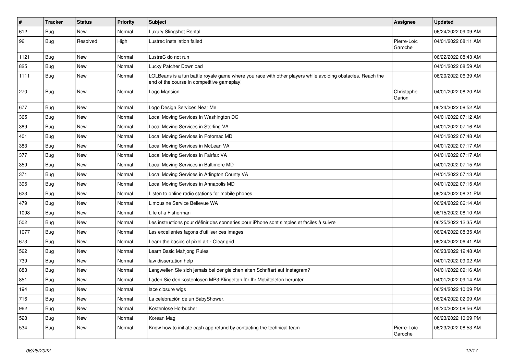| $\pmb{\#}$ | <b>Tracker</b> | <b>Status</b> | <b>Priority</b> | Subject                                                                                                                                                  | <b>Assignee</b>        | <b>Updated</b>      |
|------------|----------------|---------------|-----------------|----------------------------------------------------------------------------------------------------------------------------------------------------------|------------------------|---------------------|
| 612        | <b>Bug</b>     | New           | Normal          | Luxury Slingshot Rental                                                                                                                                  |                        | 06/24/2022 09:09 AM |
| 96         | <b>Bug</b>     | Resolved      | High            | Lustrec installation failed                                                                                                                              | Pierre-Loïc<br>Garoche | 04/01/2022 08:11 AM |
| 1121       | <b>Bug</b>     | <b>New</b>    | Normal          | LustreC do not run                                                                                                                                       |                        | 06/22/2022 08:43 AM |
| 825        | Bug            | <b>New</b>    | Normal          | Lucky Patcher Download                                                                                                                                   |                        | 04/01/2022 08:59 AM |
| 1111       | Bug            | New           | Normal          | LOLBeans is a fun battle royale game where you race with other players while avoiding obstacles. Reach the<br>end of the course in competitive gameplay! |                        | 06/20/2022 06:39 AM |
| 270        | Bug            | <b>New</b>    | Normal          | Logo Mansion                                                                                                                                             | Christophe<br>Garion   | 04/01/2022 08:20 AM |
| 677        | <b>Bug</b>     | <b>New</b>    | Normal          | Logo Design Services Near Me                                                                                                                             |                        | 06/24/2022 08:52 AM |
| 365        | <b>Bug</b>     | New           | Normal          | Local Moving Services in Washington DC                                                                                                                   |                        | 04/01/2022 07:12 AM |
| 389        | <b>Bug</b>     | <b>New</b>    | Normal          | Local Moving Services in Sterling VA                                                                                                                     |                        | 04/01/2022 07:16 AM |
| 401        | Bug            | <b>New</b>    | Normal          | Local Moving Services in Potomac MD                                                                                                                      |                        | 04/01/2022 07:48 AM |
| 383        | <b>Bug</b>     | <b>New</b>    | Normal          | Local Moving Services in McLean VA                                                                                                                       |                        | 04/01/2022 07:17 AM |
| 377        | <b>Bug</b>     | New           | Normal          | Local Moving Services in Fairfax VA                                                                                                                      |                        | 04/01/2022 07:17 AM |
| 359        | <b>Bug</b>     | New           | Normal          | Local Moving Services in Baltimore MD                                                                                                                    |                        | 04/01/2022 07:15 AM |
| 371        | <b>Bug</b>     | New           | Normal          | Local Moving Services in Arlington County VA                                                                                                             |                        | 04/01/2022 07:13 AM |
| 395        | Bug            | <b>New</b>    | Normal          | Local Moving Services in Annapolis MD                                                                                                                    |                        | 04/01/2022 07:15 AM |
| 623        | Bug            | New           | Normal          | Listen to online radio stations for mobile phones                                                                                                        |                        | 06/24/2022 08:21 PM |
| 479        | <b>Bug</b>     | New           | Normal          | Limousine Service Bellevue WA                                                                                                                            |                        | 06/24/2022 06:14 AM |
| 1098       | <b>Bug</b>     | <b>New</b>    | Normal          | Life of a Fisherman                                                                                                                                      |                        | 06/15/2022 08:10 AM |
| 502        | <b>Bug</b>     | <b>New</b>    | Normal          | Les instructions pour définir des sonneries pour iPhone sont simples et faciles à suivre                                                                 |                        | 06/25/2022 12:35 AM |
| 1077       | <b>Bug</b>     | <b>New</b>    | Normal          | Les excellentes façons d'utiliser ces images                                                                                                             |                        | 06/24/2022 08:35 AM |
| 673        | Bug            | New           | Normal          | Learn the basics of pixel art - Clear grid                                                                                                               |                        | 06/24/2022 06:41 AM |
| 562        | <b>Bug</b>     | <b>New</b>    | Normal          | Learn Basic Mahjong Rules                                                                                                                                |                        | 06/23/2022 12:48 AM |
| 739        | Bug            | <b>New</b>    | Normal          | law dissertation help                                                                                                                                    |                        | 04/01/2022 09:02 AM |
| 883        | <b>Bug</b>     | New           | Normal          | Langweilen Sie sich jemals bei der gleichen alten Schriftart auf Instagram?                                                                              |                        | 04/01/2022 09:16 AM |
| 851        | <b>Bug</b>     | New           | Normal          | Laden Sie den kostenlosen MP3-Klingelton für Ihr Mobiltelefon herunter                                                                                   |                        | 04/01/2022 09:14 AM |
| 194        | Bug            | New           | Normal          | lace closure wigs                                                                                                                                        |                        | 06/24/2022 10:09 PM |
| 716        | Bug            | New           | Normal          | La celebración de un BabyShower.                                                                                                                         |                        | 06/24/2022 02:09 AM |
| 962        | Bug            | New           | Normal          | Kostenlose Hörbücher                                                                                                                                     |                        | 05/20/2022 08:56 AM |
| 528        | <b>Bug</b>     | New           | Normal          | Korean Mag                                                                                                                                               |                        | 06/23/2022 10:09 PM |
| 534        | Bug            | New           | Normal          | Know how to initiate cash app refund by contacting the technical team                                                                                    | Pierre-Loïc<br>Garoche | 06/23/2022 08:53 AM |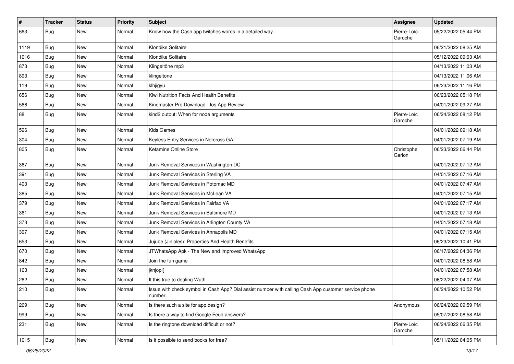| $\pmb{\#}$ | <b>Tracker</b> | <b>Status</b> | <b>Priority</b> | Subject                                                                                                         | Assignee               | <b>Updated</b>      |
|------------|----------------|---------------|-----------------|-----------------------------------------------------------------------------------------------------------------|------------------------|---------------------|
| 663        | Bug            | <b>New</b>    | Normal          | Know how the Cash app twitches words in a detailed way.                                                         | Pierre-Loïc<br>Garoche | 05/22/2022 05:44 PM |
| 1119       | Bug            | New           | Normal          | Klondike Solitaire                                                                                              |                        | 06/21/2022 08:25 AM |
| 1016       | <b>Bug</b>     | <b>New</b>    | Normal          | Klondike Solitaire                                                                                              |                        | 05/12/2022 09:03 AM |
| 873        | Bug            | <b>New</b>    | Normal          | Klingeltöne mp3                                                                                                 |                        | 04/13/2022 11:03 AM |
| 893        | <b>Bug</b>     | <b>New</b>    | Normal          | klingeltone                                                                                                     |                        | 04/13/2022 11:06 AM |
| 119        | <b>Bug</b>     | New           | Normal          | klhjigyu                                                                                                        |                        | 06/23/2022 11:16 PM |
| 656        | Bug            | <b>New</b>    | Normal          | Kiwi Nutrition Facts And Health Benefits                                                                        |                        | 06/23/2022 05:18 PM |
| 566        | <b>Bug</b>     | <b>New</b>    | Normal          | Kinemaster Pro Download - los App Review                                                                        |                        | 04/01/2022 09:27 AM |
| 88         | <b>Bug</b>     | <b>New</b>    | Normal          | kind2 output: When for node arguments                                                                           | Pierre-Loïc<br>Garoche | 06/24/2022 08:12 PM |
| 596        | Bug            | <b>New</b>    | Normal          | <b>Kids Games</b>                                                                                               |                        | 04/01/2022 09:18 AM |
| 304        | Bug            | New           | Normal          | Keyless Entry Services in Norcross GA                                                                           |                        | 04/01/2022 07:19 AM |
| 805        | <b>Bug</b>     | <b>New</b>    | Normal          | Ketamine Online Store                                                                                           | Christophe<br>Garion   | 06/23/2022 06:44 PM |
| 367        | Bug            | New           | Normal          | Junk Removal Services in Washington DC                                                                          |                        | 04/01/2022 07:12 AM |
| 391        | <b>Bug</b>     | <b>New</b>    | Normal          | Junk Removal Services in Sterling VA                                                                            |                        | 04/01/2022 07:16 AM |
| 403        | Bug            | <b>New</b>    | Normal          | Junk Removal Services in Potomac MD                                                                             |                        | 04/01/2022 07:47 AM |
| 385        | Bug            | New           | Normal          | Junk Removal Services in McLean VA                                                                              |                        | 04/01/2022 07:15 AM |
| 379        | Bug            | <b>New</b>    | Normal          | Junk Removal Services in Fairfax VA                                                                             |                        | 04/01/2022 07:17 AM |
| 361        | Bug            | <b>New</b>    | Normal          | Junk Removal Services in Baltimore MD                                                                           |                        | 04/01/2022 07:13 AM |
| 373        | <b>Bug</b>     | <b>New</b>    | Normal          | Junk Removal Services in Arlington County VA                                                                    |                        | 04/01/2022 07:18 AM |
| 397        | <b>Bug</b>     | <b>New</b>    | Normal          | Junk Removal Services in Annapolis MD                                                                           |                        | 04/01/2022 07:15 AM |
| 653        | Bug            | New           | Normal          | Jujube (Jinjoles): Properties And Health Benefits                                                               |                        | 06/23/2022 10:41 PM |
| 670        | <b>Bug</b>     | <b>New</b>    | Normal          | JTWhatsApp Apk - The New and Improved WhatsApp                                                                  |                        | 06/17/2022 04:36 PM |
| 842        | Bug            | <b>New</b>    | Normal          | Join the fun game                                                                                               |                        | 04/01/2022 08:58 AM |
| 163        | Bug            | <b>New</b>    | Normal          | jknjopl[                                                                                                        |                        | 04/01/2022 07:58 AM |
| 262        | <b>Bug</b>     | <b>New</b>    | Normal          | It this true to dealing Wuth                                                                                    |                        | 06/22/2022 04:07 AM |
| 210        | Bug            | New           | Normal          | Issue with check symbol in Cash App? Dial assist number with calling Cash App customer service phone<br>number. |                        | 06/24/2022 10:52 PM |
| 269        | Bug            | New           | Normal          | Is there such a site for app design?                                                                            | Anonymous              | 06/24/2022 09:59 PM |
| 999        | Bug            | New           | Normal          | Is there a way to find Google Feud answers?                                                                     |                        | 05/07/2022 08:58 AM |
| 231        | Bug            | New           | Normal          | Is the ringtone download difficult or not?                                                                      | Pierre-Loïc<br>Garoche | 06/24/2022 06:35 PM |
| 1015       | <b>Bug</b>     | New           | Normal          | Is it possible to send books for free?                                                                          |                        | 05/11/2022 04:05 PM |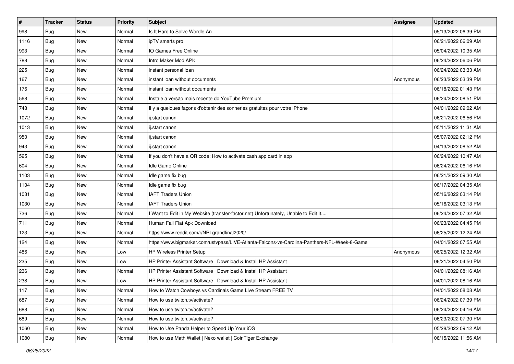| $\pmb{\#}$ | <b>Tracker</b> | <b>Status</b> | <b>Priority</b> | <b>Subject</b>                                                                               | Assignee  | <b>Updated</b>      |
|------------|----------------|---------------|-----------------|----------------------------------------------------------------------------------------------|-----------|---------------------|
| 998        | <b>Bug</b>     | <b>New</b>    | Normal          | Is It Hard to Solve Wordle An                                                                |           | 05/13/2022 06:39 PM |
| 1116       | <b>Bug</b>     | <b>New</b>    | Normal          | ipTV smarts pro                                                                              |           | 06/21/2022 06:09 AM |
| 993        | Bug            | New           | Normal          | IO Games Free Online                                                                         |           | 05/04/2022 10:35 AM |
| 788        | Bug            | <b>New</b>    | Normal          | Intro Maker Mod APK                                                                          |           | 06/24/2022 06:06 PM |
| 225        | Bug            | <b>New</b>    | Normal          | instant personal loan                                                                        |           | 06/24/2022 03:33 AM |
| 167        | <b>Bug</b>     | New           | Normal          | instant loan without documents                                                               | Anonymous | 06/23/2022 03:39 PM |
| 176        | Bug            | <b>New</b>    | Normal          | instant loan without documents                                                               |           | 06/18/2022 01:43 PM |
| 568        | <b>Bug</b>     | New           | Normal          | Instale a versão mais recente do YouTube Premium                                             |           | 06/24/2022 08:51 PM |
| 748        | <b>Bug</b>     | <b>New</b>    | Normal          | Il y a quelques façons d'obtenir des sonneries gratuites pour votre iPhone                   |           | 04/01/2022 09:02 AM |
| 1072       | Bug            | <b>New</b>    | Normal          | ij.start canon                                                                               |           | 06/21/2022 06:56 PM |
| 1013       | <b>Bug</b>     | <b>New</b>    | Normal          | ij.start canon                                                                               |           | 05/11/2022 11:31 AM |
| 950        | Bug            | <b>New</b>    | Normal          | ij.start canon                                                                               |           | 05/07/2022 02:12 PM |
| 943        | Bug            | New           | Normal          | ii.start canon                                                                               |           | 04/13/2022 08:52 AM |
| 525        | <b>Bug</b>     | <b>New</b>    | Normal          | If you don't have a QR code: How to activate cash app card in app                            |           | 06/24/2022 10:47 AM |
| 604        | Bug            | <b>New</b>    | Normal          | Idle Game Online                                                                             |           | 06/24/2022 06:16 PM |
| 1103       | <b>Bug</b>     | New           | Normal          | Idle game fix bug                                                                            |           | 06/21/2022 09:30 AM |
| 1104       | Bug            | <b>New</b>    | Normal          | Idle game fix bug                                                                            |           | 06/17/2022 04:35 AM |
| 1031       | Bug            | <b>New</b>    | Normal          | <b>IAFT Traders Union</b>                                                                    |           | 05/16/2022 03:14 PM |
| 1030       | <b>Bug</b>     | <b>New</b>    | Normal          | <b>IAFT Traders Union</b>                                                                    |           | 05/16/2022 03:13 PM |
| 736        | Bug            | <b>New</b>    | Normal          | I Want to Edit in My Website (transfer-factor.net) Unfortunately, Unable to Edit It          |           | 06/24/2022 07:32 AM |
| 711        | <b>Bug</b>     | New           | Normal          | Human Fall Flat Apk Download                                                                 |           | 06/23/2022 04:45 PM |
| 123        | <b>Bug</b>     | <b>New</b>    | Normal          | https://www.reddit.com/r/NRLgrandfinal2020/                                                  |           | 06/25/2022 12:24 AM |
| 124        | Bug            | <b>New</b>    | Normal          | https://www.bigmarker.com/ustvpass/LIVE-Atlanta-Falcons-vs-Carolina-Panthers-NFL-Week-8-Game |           | 04/01/2022 07:55 AM |
| 486        | <b>Bug</b>     | <b>New</b>    | Low             | <b>HP Wireless Printer Setup</b>                                                             | Anonymous | 06/25/2022 12:32 AM |
| 235        | <b>Bug</b>     | <b>New</b>    | Low             | HP Printer Assistant Software   Download & Install HP Assistant                              |           | 06/21/2022 04:50 PM |
| 236        | Bug            | New           | Normal          | HP Printer Assistant Software   Download & Install HP Assistant                              |           | 04/01/2022 08:16 AM |
| 238        | <b>Bug</b>     | <b>New</b>    | Low             | HP Printer Assistant Software   Download & Install HP Assistant                              |           | 04/01/2022 08:16 AM |
| 117        | Bug            | New           | Normal          | How to Watch Cowboys vs Cardinals Game Live Stream FREE TV                                   |           | 04/01/2022 08:08 AM |
| 687        | Bug            | New           | Normal          | How to use twitch.tv/activate?                                                               |           | 06/24/2022 07:39 PM |
| 688        | Bug            | New           | Normal          | How to use twitch.tv/activate?                                                               |           | 06/24/2022 04:16 AM |
| 689        | Bug            | New           | Normal          | How to use twitch.tv/activate?                                                               |           | 06/23/2022 07:30 PM |
| 1060       | <b>Bug</b>     | New           | Normal          | How to Use Panda Helper to Speed Up Your iOS                                                 |           | 05/28/2022 09:12 AM |
| 1080       | Bug            | New           | Normal          | How to use Math Wallet   Nexo wallet   CoinTiger Exchange                                    |           | 06/15/2022 11:56 AM |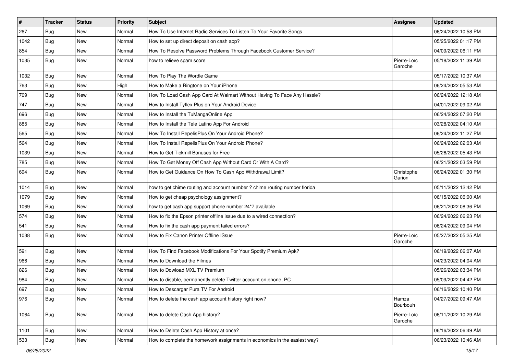| $\vert$ # | <b>Tracker</b> | <b>Status</b> | <b>Priority</b> | <b>Subject</b>                                                             | <b>Assignee</b>        | <b>Updated</b>      |
|-----------|----------------|---------------|-----------------|----------------------------------------------------------------------------|------------------------|---------------------|
| 267       | Bug            | New           | Normal          | How To Use Internet Radio Services To Listen To Your Favorite Songs        |                        | 06/24/2022 10:58 PM |
| 1042      | <b>Bug</b>     | New           | Normal          | How to set up direct deposit on cash app?                                  |                        | 05/25/2022 01:17 PM |
| 854       | <b>Bug</b>     | New           | Normal          | How To Resolve Password Problems Through Facebook Customer Service?        |                        | 04/09/2022 06:11 PM |
| 1035      | <b>Bug</b>     | New           | Normal          | how to relieve spam score                                                  | Pierre-Loïc<br>Garoche | 05/18/2022 11:39 AM |
| 1032      | <b>Bug</b>     | New           | Normal          | How To Play The Wordle Game                                                |                        | 05/17/2022 10:37 AM |
| 763       | <b>Bug</b>     | New           | High            | How to Make a Ringtone on Your iPhone                                      |                        | 06/24/2022 05:53 AM |
| 709       | Bug            | <b>New</b>    | Normal          | How To Load Cash App Card At Walmart Without Having To Face Any Hassle?    |                        | 06/24/2022 12:18 AM |
| 747       | Bug            | New           | Normal          | How to Install Tyflex Plus on Your Android Device                          |                        | 04/01/2022 09:02 AM |
| 696       | <b>Bug</b>     | <b>New</b>    | Normal          | How to Install the TuMangaOnline App                                       |                        | 06/24/2022 07:20 PM |
| 885       | Bug            | New           | Normal          | How to Install the Tele Latino App For Android                             |                        | 03/28/2022 04:10 AM |
| 565       | <b>Bug</b>     | New           | Normal          | How To Install RepelisPlus On Your Android Phone?                          |                        | 06/24/2022 11:27 PM |
| 564       | Bug            | New           | Normal          | How To Install RepelisPlus On Your Android Phone?                          |                        | 06/24/2022 02:03 AM |
| 1039      | Bug            | New           | Normal          | How to Get Tickmill Bonuses for Free                                       |                        | 05/26/2022 05:43 PM |
| 785       | Bug            | New           | Normal          | How To Get Money Off Cash App Without Card Or With A Card?                 |                        | 06/21/2022 03:59 PM |
| 694       | Bug            | New           | Normal          | How to Get Guidance On How To Cash App Withdrawal Limit?                   | Christophe<br>Garion   | 06/24/2022 01:30 PM |
| 1014      | Bug            | <b>New</b>    | Normal          | how to get chime routing and account number ? chime routing number florida |                        | 05/11/2022 12:42 PM |
| 1079      | <b>Bug</b>     | New           | Normal          | How to get cheap psychology assignment?                                    |                        | 06/15/2022 06:00 AM |
| 1069      | Bug            | New           | Normal          | how to get cash app support phone number 24*7 available                    |                        | 06/21/2022 08:36 PM |
| 574       | <b>Bug</b>     | <b>New</b>    | Normal          | How to fix the Epson printer offline issue due to a wired connection?      |                        | 06/24/2022 06:23 PM |
| 541       | <b>Bug</b>     | New           | Normal          | How to fix the cash app payment failed errors?                             |                        | 06/24/2022 09:04 PM |
| 1038      | <b>Bug</b>     | <b>New</b>    | Normal          | How to Fix Canon Printer Offline ISsue                                     | Pierre-Loïc<br>Garoche | 05/27/2022 05:25 AM |
| 591       | <b>Bug</b>     | <b>New</b>    | Normal          | How To Find Facebook Modifications For Your Spotify Premium Apk?           |                        | 06/19/2022 06:07 AM |
| 966       | Bug            | New           | Normal          | How to Download the Filmes                                                 |                        | 04/23/2022 04:04 AM |
| 826       | Bug            | New           | Normal          | How to Dowload MXL TV Premium                                              |                        | 05/26/2022 03:34 PM |
| 984       | <b>Bug</b>     | New           | Normal          | How to disable, permanently delete Twitter account on phone, PC            |                        | 05/09/2022 04:42 PM |
| 697       | Bug            | New           | Normal          | How to Descargar Pura TV For Android                                       |                        | 06/16/2022 10:40 PM |
| 976       | <b>Bug</b>     | New           | Normal          | How to delete the cash app account history right now?                      | Hamza<br>Bourbouh      | 04/27/2022 09:47 AM |
| 1064      | <b>Bug</b>     | New           | Normal          | How to delete Cash App history?                                            | Pierre-Loïc<br>Garoche | 06/11/2022 10:29 AM |
| 1101      | <b>Bug</b>     | New           | Normal          | How to Delete Cash App History at once?                                    |                        | 06/16/2022 06:49 AM |
| 533       | <b>Bug</b>     | New           | Normal          | How to complete the homework assignments in economics in the easiest way?  |                        | 06/23/2022 10:46 AM |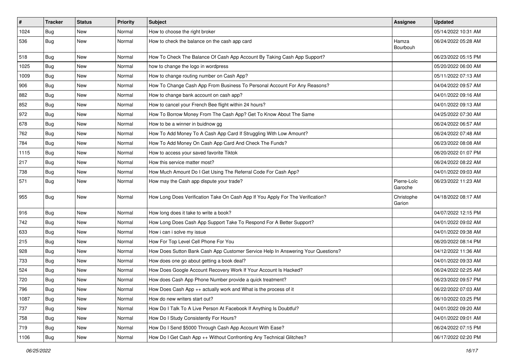| $\sharp$ | <b>Tracker</b> | <b>Status</b> | <b>Priority</b> | Subject                                                                          | Assignee               | <b>Updated</b>      |
|----------|----------------|---------------|-----------------|----------------------------------------------------------------------------------|------------------------|---------------------|
| 1024     | Bug            | New           | Normal          | How to choose the right broker                                                   |                        | 05/14/2022 10:31 AM |
| 536      | <b>Bug</b>     | New           | Normal          | How to check the balance on the cash app card                                    | Hamza<br>Bourbouh      | 06/24/2022 05:28 AM |
| 518      | Bug            | <b>New</b>    | Normal          | How To Check The Balance Of Cash App Account By Taking Cash App Support?         |                        | 06/23/2022 05:15 PM |
| 1025     | Bug            | <b>New</b>    | Normal          | how to change the logo in wordpress                                              |                        | 05/20/2022 06:00 AM |
| 1009     | <b>Bug</b>     | New           | Normal          | How to change routing number on Cash App?                                        |                        | 05/11/2022 07:13 AM |
| 906      | Bug            | New           | Normal          | How To Change Cash App From Business To Personal Account For Any Reasons?        |                        | 04/04/2022 09:57 AM |
| 882      | Bug            | New           | Normal          | How to change bank account on cash app?                                          |                        | 04/01/2022 09:16 AM |
| 852      | Bug            | New           | Normal          | How to cancel your French Bee flight within 24 hours?                            |                        | 04/01/2022 09:13 AM |
| 972      | Bug            | New           | Normal          | How To Borrow Money From The Cash App? Get To Know About The Same                |                        | 04/25/2022 07:30 AM |
| 678      | Bug            | New           | Normal          | How to be a winner in buidnow gg                                                 |                        | 06/24/2022 06:57 AM |
| 762      | Bug            | New           | Normal          | How To Add Money To A Cash App Card If Struggling With Low Amount?               |                        | 06/24/2022 07:48 AM |
| 784      | <b>Bug</b>     | New           | Normal          | How To Add Money On Cash App Card And Check The Funds?                           |                        | 06/23/2022 08:08 AM |
| 1115     | <b>Bug</b>     | New           | Normal          | How to access your saved favorite Tiktok                                         |                        | 06/20/2022 01:07 PM |
| 217      | Bug            | New           | Normal          | How this service matter most?                                                    |                        | 06/24/2022 08:22 AM |
| 738      | <b>Bug</b>     | New           | Normal          | How Much Amount Do I Get Using The Referral Code For Cash App?                   |                        | 04/01/2022 09:03 AM |
| 571      | Bug            | New           | Normal          | How may the Cash app dispute your trade?                                         | Pierre-Loïc<br>Garoche | 06/23/2022 11:23 AM |
| 955      | <b>Bug</b>     | New           | Normal          | How Long Does Verification Take On Cash App If You Apply For The Verification?   | Christophe<br>Garion   | 04/18/2022 08:17 AM |
| 916      | Bug            | New           | Normal          | How long does it take to write a book?                                           |                        | 04/07/2022 12:15 PM |
| 742      | Bug            | New           | Normal          | How Long Does Cash App Support Take To Respond For A Better Support?             |                        | 04/01/2022 09:02 AM |
| 633      | <b>Bug</b>     | New           | Normal          | How i can i solve my issue                                                       |                        | 04/01/2022 09:38 AM |
| 215      | Bug            | New           | Normal          | How For Top Level Cell Phone For You                                             |                        | 06/20/2022 08:14 PM |
| 928      | Bug            | New           | Normal          | How Does Sutton Bank Cash App Customer Service Help In Answering Your Questions? |                        | 04/12/2022 11:36 AM |
| 733      | Bug            | New           | Normal          | How does one go about getting a book deal?                                       |                        | 04/01/2022 09:33 AM |
| 524      | Bug            | New           | Normal          | How Does Google Account Recovery Work If Your Account Is Hacked?                 |                        | 06/24/2022 02:25 AM |
| 720      | Bug            | New           | Normal          | How does Cash App Phone Number provide a quick treatment?                        |                        | 06/23/2022 09:57 PM |
| 796      | Bug            | New           | Normal          | How Does Cash App ++ actually work and What is the process of it                 |                        | 06/22/2022 07:03 AM |
| 1087     | <b>Bug</b>     | New           | Normal          | How do new writers start out?                                                    |                        | 06/10/2022 03:25 PM |
| 737      | Bug            | New           | Normal          | How Do I Talk To A Live Person At Facebook If Anything Is Doubtful?              |                        | 04/01/2022 09:20 AM |
| 758      | <b>Bug</b>     | New           | Normal          | How Do I Study Consistently For Hours?                                           |                        | 04/01/2022 09:01 AM |
| 719      | Bug            | New           | Normal          | How Do I Send \$5000 Through Cash App Account With Ease?                         |                        | 06/24/2022 07:15 PM |
| 1106     | <b>Bug</b>     | New           | Normal          | How Do I Get Cash App ++ Without Confronting Any Technical Glitches?             |                        | 06/17/2022 02:20 PM |